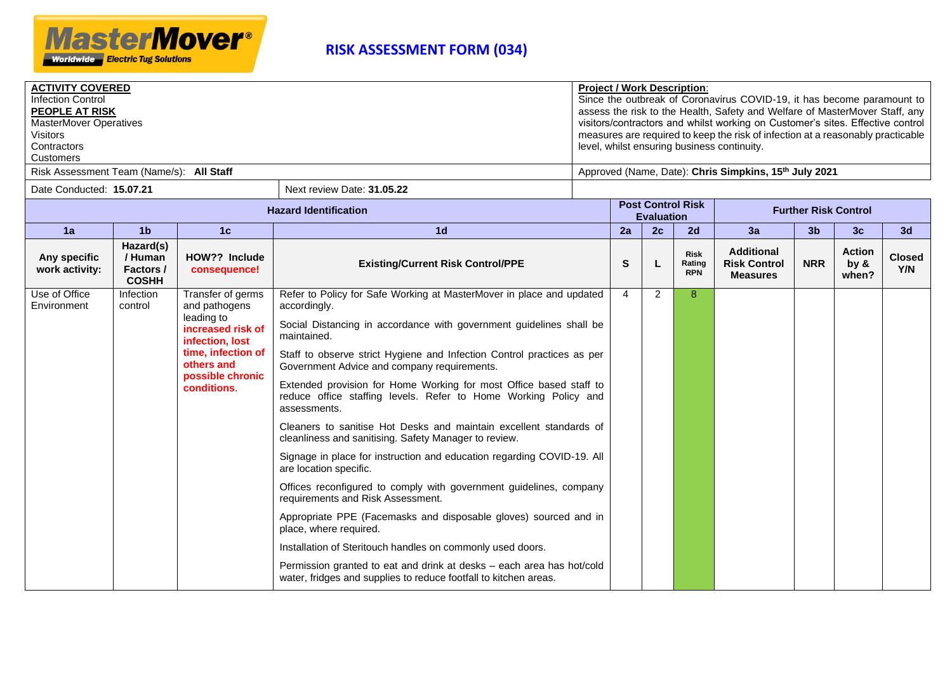

| <b>ACTIVITY COVERED</b><br><b>Infection Control</b><br><b>PEOPLE AT RISK</b><br><b>MasterMover Operatives</b><br><b>Visitors</b><br>Contractors<br>Customers<br>Risk Assessment Team (Name/s): All Staff |                                                    |                                                                                                                                                                       |                                                                                                                                                                                                                                                                                                                                                                                                                                                                                                                                                                                                                                                                                                                                                                                                                                                                                                                                                                                                                                                                                                                     |  |                |                   | <b>Project / Work Description:</b>  | Since the outbreak of Coronavirus COVID-19, it has become paramount to<br>assess the risk to the Health, Safety and Welfare of MasterMover Staff, any<br>visitors/contractors and whilst working on Customer's sites. Effective control<br>measures are required to keep the risk of infection at a reasonably practicable<br>level, whilst ensuring business continuity.<br>Approved (Name, Date): Chris Simpkins, 15 <sup>th</sup> July 2021 |                |                                   |                      |
|----------------------------------------------------------------------------------------------------------------------------------------------------------------------------------------------------------|----------------------------------------------------|-----------------------------------------------------------------------------------------------------------------------------------------------------------------------|---------------------------------------------------------------------------------------------------------------------------------------------------------------------------------------------------------------------------------------------------------------------------------------------------------------------------------------------------------------------------------------------------------------------------------------------------------------------------------------------------------------------------------------------------------------------------------------------------------------------------------------------------------------------------------------------------------------------------------------------------------------------------------------------------------------------------------------------------------------------------------------------------------------------------------------------------------------------------------------------------------------------------------------------------------------------------------------------------------------------|--|----------------|-------------------|-------------------------------------|------------------------------------------------------------------------------------------------------------------------------------------------------------------------------------------------------------------------------------------------------------------------------------------------------------------------------------------------------------------------------------------------------------------------------------------------|----------------|-----------------------------------|----------------------|
| Date Conducted: 15.07.21                                                                                                                                                                                 |                                                    |                                                                                                                                                                       | Next review Date: 31.05.22                                                                                                                                                                                                                                                                                                                                                                                                                                                                                                                                                                                                                                                                                                                                                                                                                                                                                                                                                                                                                                                                                          |  |                |                   | <b>Post Control Risk</b>            |                                                                                                                                                                                                                                                                                                                                                                                                                                                |                |                                   |                      |
|                                                                                                                                                                                                          |                                                    |                                                                                                                                                                       | <b>Hazard Identification</b>                                                                                                                                                                                                                                                                                                                                                                                                                                                                                                                                                                                                                                                                                                                                                                                                                                                                                                                                                                                                                                                                                        |  |                | <b>Evaluation</b> |                                     |                                                                                                                                                                                                                                                                                                                                                                                                                                                |                | <b>Further Risk Control</b>       |                      |
| 1a                                                                                                                                                                                                       | 1 <sub>b</sub><br>1 <sub>d</sub><br>1 <sub>c</sub> |                                                                                                                                                                       |                                                                                                                                                                                                                                                                                                                                                                                                                                                                                                                                                                                                                                                                                                                                                                                                                                                                                                                                                                                                                                                                                                                     |  | 2a             | 2c                | 2d                                  | 3a                                                                                                                                                                                                                                                                                                                                                                                                                                             | 3 <sub>b</sub> | 3 <sub>c</sub>                    | 3d                   |
| Any specific<br>work activity:                                                                                                                                                                           | Hazard(s)<br>/ Human<br>Factors /<br><b>COSHH</b>  | HOW?? Include<br>consequence!                                                                                                                                         | <b>Existing/Current Risk Control/PPE</b>                                                                                                                                                                                                                                                                                                                                                                                                                                                                                                                                                                                                                                                                                                                                                                                                                                                                                                                                                                                                                                                                            |  |                |                   | <b>Risk</b><br>Rating<br><b>RPN</b> | <b>Additional</b><br><b>Risk Control</b><br><b>Measures</b>                                                                                                                                                                                                                                                                                                                                                                                    | <b>NRR</b>     | <b>Action</b><br>by $\&$<br>when? | <b>Closed</b><br>Y/N |
| Use of Office<br>Environment                                                                                                                                                                             | Infection<br>control                               | Transfer of germs<br>and pathogens<br>leading to<br>increased risk of<br>infection, lost<br>time, infection of<br>others and<br>possible chronic<br><b>conditions</b> | Refer to Policy for Safe Working at MasterMover in place and updated<br>accordingly.<br>Social Distancing in accordance with government guidelines shall be<br>maintained.<br>Staff to observe strict Hygiene and Infection Control practices as per<br>Government Advice and company requirements.<br>Extended provision for Home Working for most Office based staff to<br>reduce office staffing levels. Refer to Home Working Policy and<br>assessments.<br>Cleaners to sanitise Hot Desks and maintain excellent standards of<br>cleanliness and sanitising. Safety Manager to review.<br>Signage in place for instruction and education regarding COVID-19. All<br>are location specific.<br>Offices reconfigured to comply with government guidelines, company<br>requirements and Risk Assessment.<br>Appropriate PPE (Facemasks and disposable gloves) sourced and in<br>place, where required.<br>Installation of Steritouch handles on commonly used doors.<br>Permission granted to eat and drink at desks - each area has hot/cold<br>water, fridges and supplies to reduce footfall to kitchen areas. |  | $\overline{4}$ | $\overline{2}$    | 8                                   |                                                                                                                                                                                                                                                                                                                                                                                                                                                |                |                                   |                      |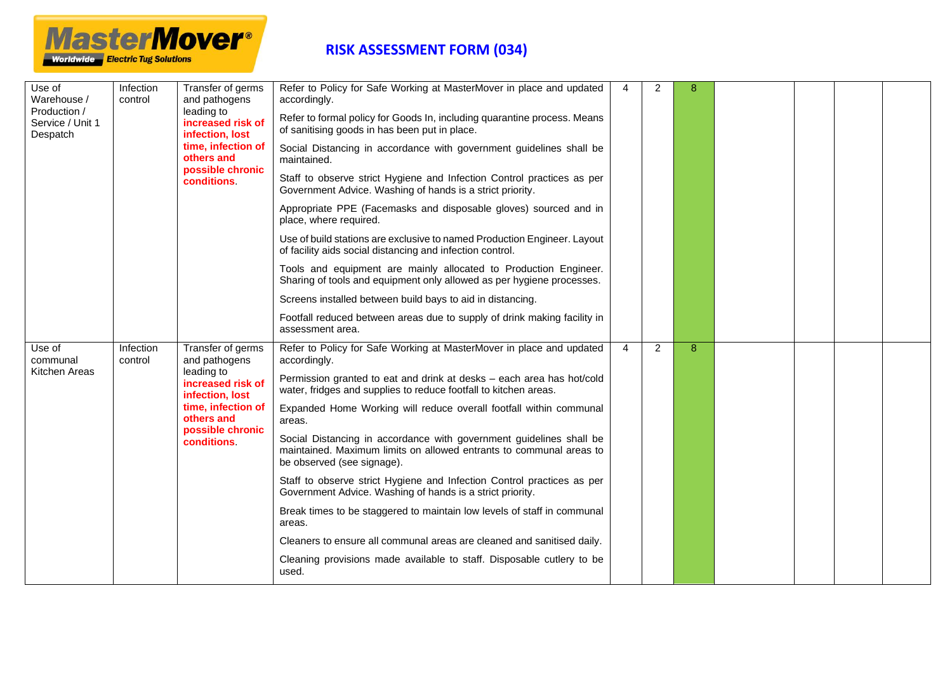

| Use of<br>Warehouse /<br>Production /<br>Service / Unit 1<br>Despatch | Infection<br>control | Transfer of germs<br>and pathogens                 | Refer to Policy for Safe Working at MasterMover in place and updated<br>accordingly.                                                                                     | 4              | 2              | 8 |  |  |
|-----------------------------------------------------------------------|----------------------|----------------------------------------------------|--------------------------------------------------------------------------------------------------------------------------------------------------------------------------|----------------|----------------|---|--|--|
|                                                                       |                      | leading to<br>increased risk of<br>infection, lost | Refer to formal policy for Goods In, including quarantine process. Means<br>of sanitising goods in has been put in place.                                                |                |                |   |  |  |
|                                                                       |                      | time, infection of<br>others and                   | Social Distancing in accordance with government guidelines shall be<br>maintained.                                                                                       |                |                |   |  |  |
|                                                                       |                      | possible chronic<br><b>conditions</b>              | Staff to observe strict Hygiene and Infection Control practices as per<br>Government Advice. Washing of hands is a strict priority.                                      |                |                |   |  |  |
|                                                                       |                      |                                                    | Appropriate PPE (Facemasks and disposable gloves) sourced and in<br>place, where required.                                                                               |                |                |   |  |  |
|                                                                       |                      |                                                    | Use of build stations are exclusive to named Production Engineer. Layout<br>of facility aids social distancing and infection control.                                    |                |                |   |  |  |
|                                                                       |                      |                                                    | Tools and equipment are mainly allocated to Production Engineer.<br>Sharing of tools and equipment only allowed as per hygiene processes.                                |                |                |   |  |  |
|                                                                       |                      |                                                    | Screens installed between build bays to aid in distancing.                                                                                                               |                |                |   |  |  |
|                                                                       |                      |                                                    | Footfall reduced between areas due to supply of drink making facility in<br>assessment area.                                                                             |                |                |   |  |  |
| Use of<br>communal                                                    | Infection<br>control | Transfer of germs<br>and pathogens                 | Refer to Policy for Safe Working at MasterMover in place and updated<br>accordingly.                                                                                     | $\overline{4}$ | $\overline{2}$ | 8 |  |  |
| Kitchen Areas                                                         |                      | leading to<br>increased risk of<br>infection, lost | Permission granted to eat and drink at desks - each area has hot/cold<br>water, fridges and supplies to reduce footfall to kitchen areas.                                |                |                |   |  |  |
|                                                                       |                      | time, infection of<br>others and                   | Expanded Home Working will reduce overall footfall within communal<br>areas.                                                                                             |                |                |   |  |  |
|                                                                       |                      | possible chronic<br><b>conditions</b>              | Social Distancing in accordance with government guidelines shall be<br>maintained. Maximum limits on allowed entrants to communal areas to<br>be observed (see signage). |                |                |   |  |  |
|                                                                       |                      |                                                    | Staff to observe strict Hygiene and Infection Control practices as per<br>Government Advice. Washing of hands is a strict priority.                                      |                |                |   |  |  |
|                                                                       |                      |                                                    | Break times to be staggered to maintain low levels of staff in communal<br>areas.                                                                                        |                |                |   |  |  |
|                                                                       |                      |                                                    | Cleaners to ensure all communal areas are cleaned and sanitised daily.                                                                                                   |                |                |   |  |  |
|                                                                       |                      |                                                    | Cleaning provisions made available to staff. Disposable cutlery to be<br>used.                                                                                           |                |                |   |  |  |
|                                                                       |                      |                                                    |                                                                                                                                                                          |                |                |   |  |  |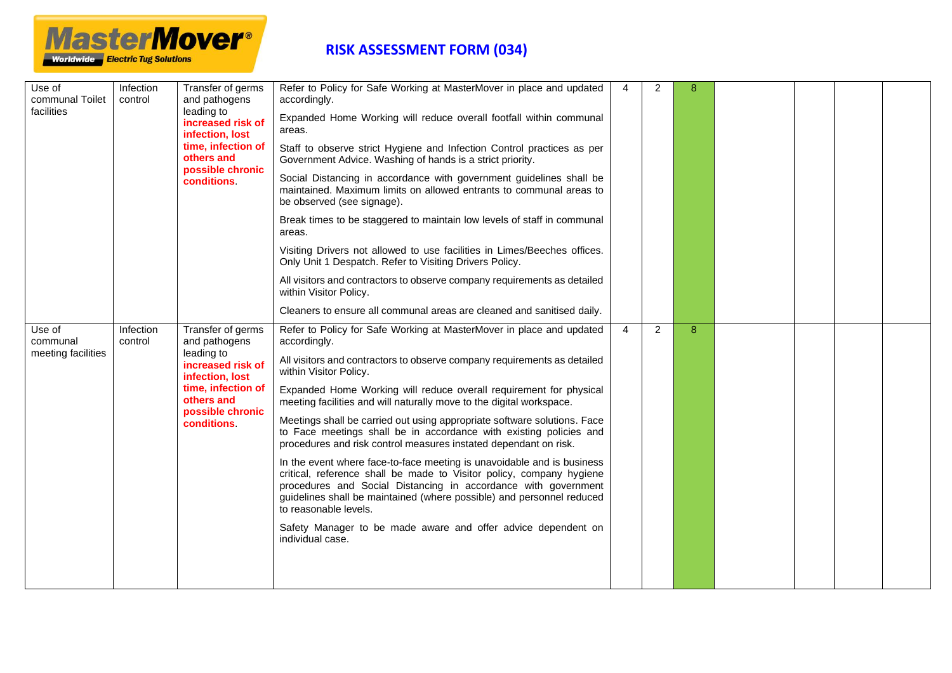

| Use of<br>Infection<br>communal Toilet<br>control<br>facilities |                                                    | Transfer of germs<br>and pathogens                                           | Refer to Policy for Safe Working at MasterMover in place and updated<br>accordingly.                                                                                                                                                                                                                               | $\overline{4}$ | 2              | 8 |  |  |
|-----------------------------------------------------------------|----------------------------------------------------|------------------------------------------------------------------------------|--------------------------------------------------------------------------------------------------------------------------------------------------------------------------------------------------------------------------------------------------------------------------------------------------------------------|----------------|----------------|---|--|--|
|                                                                 | leading to<br>increased risk of<br>infection, lost | Expanded Home Working will reduce overall footfall within communal<br>areas. |                                                                                                                                                                                                                                                                                                                    |                |                |   |  |  |
|                                                                 |                                                    | time, infection of<br>others and                                             | Staff to observe strict Hygiene and Infection Control practices as per<br>Government Advice. Washing of hands is a strict priority.                                                                                                                                                                                |                |                |   |  |  |
|                                                                 |                                                    | possible chronic<br><b>conditions</b>                                        | Social Distancing in accordance with government guidelines shall be<br>maintained. Maximum limits on allowed entrants to communal areas to<br>be observed (see signage).                                                                                                                                           |                |                |   |  |  |
|                                                                 |                                                    |                                                                              | Break times to be staggered to maintain low levels of staff in communal<br>areas.                                                                                                                                                                                                                                  |                |                |   |  |  |
|                                                                 |                                                    |                                                                              | Visiting Drivers not allowed to use facilities in Limes/Beeches offices.<br>Only Unit 1 Despatch. Refer to Visiting Drivers Policy.                                                                                                                                                                                |                |                |   |  |  |
|                                                                 |                                                    |                                                                              | All visitors and contractors to observe company requirements as detailed<br>within Visitor Policy.                                                                                                                                                                                                                 |                |                |   |  |  |
|                                                                 |                                                    |                                                                              | Cleaners to ensure all communal areas are cleaned and sanitised daily.                                                                                                                                                                                                                                             |                |                |   |  |  |
| Use of<br>communal                                              | Infection<br>control                               | Transfer of germs<br>and pathogens                                           | Refer to Policy for Safe Working at MasterMover in place and updated<br>accordingly.                                                                                                                                                                                                                               | 4              | $\overline{2}$ | 8 |  |  |
| meeting facilities                                              | leading to                                         | increased risk of<br>infection, lost                                         | All visitors and contractors to observe company requirements as detailed<br>within Visitor Policy.                                                                                                                                                                                                                 |                |                |   |  |  |
|                                                                 |                                                    | time, infection of<br>others and<br>possible chronic                         | Expanded Home Working will reduce overall requirement for physical<br>meeting facilities and will naturally move to the digital workspace.                                                                                                                                                                         |                |                |   |  |  |
|                                                                 |                                                    | conditions.                                                                  | Meetings shall be carried out using appropriate software solutions. Face<br>to Face meetings shall be in accordance with existing policies and<br>procedures and risk control measures instated dependant on risk.                                                                                                 |                |                |   |  |  |
|                                                                 |                                                    |                                                                              | In the event where face-to-face meeting is unavoidable and is business<br>critical, reference shall be made to Visitor policy, company hygiene<br>procedures and Social Distancing in accordance with government<br>guidelines shall be maintained (where possible) and personnel reduced<br>to reasonable levels. |                |                |   |  |  |
|                                                                 |                                                    |                                                                              | Safety Manager to be made aware and offer advice dependent on<br>individual case.                                                                                                                                                                                                                                  |                |                |   |  |  |
|                                                                 |                                                    |                                                                              |                                                                                                                                                                                                                                                                                                                    |                |                |   |  |  |
|                                                                 |                                                    |                                                                              |                                                                                                                                                                                                                                                                                                                    |                |                |   |  |  |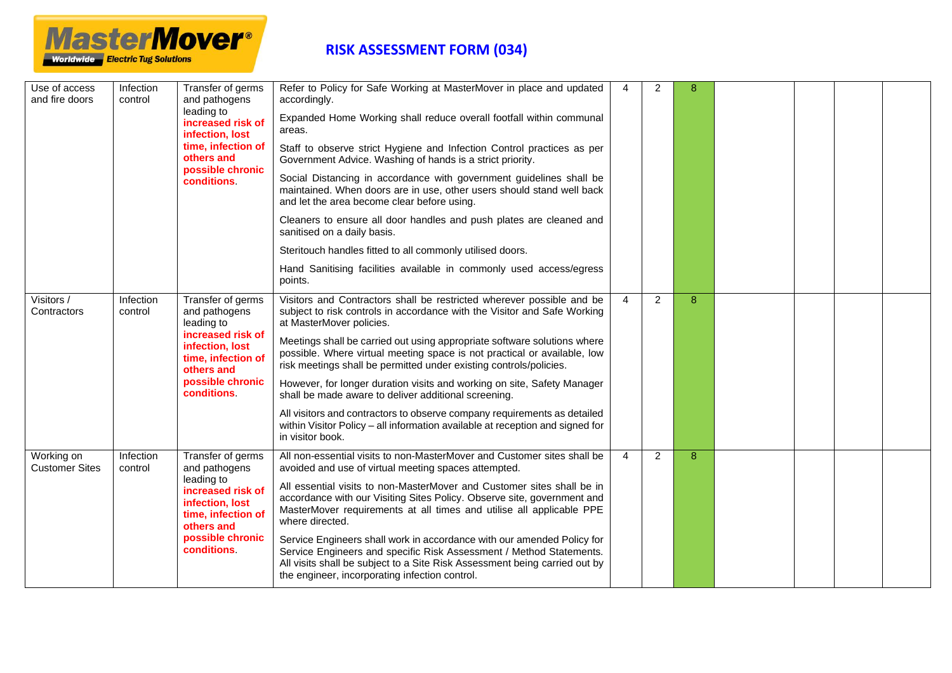

| Use of access<br>and fire doors     | Infection<br>control                                                                                                            | Transfer of germs<br>and pathogens<br>leading to<br>increased risk of<br>infection, lost                                                                                                                                                     | Refer to Policy for Safe Working at MasterMover in place and updated<br>accordingly.                                                                                                                                                                                          | 4 | 2              | 8 |  |  |  |
|-------------------------------------|---------------------------------------------------------------------------------------------------------------------------------|----------------------------------------------------------------------------------------------------------------------------------------------------------------------------------------------------------------------------------------------|-------------------------------------------------------------------------------------------------------------------------------------------------------------------------------------------------------------------------------------------------------------------------------|---|----------------|---|--|--|--|
|                                     |                                                                                                                                 |                                                                                                                                                                                                                                              | Expanded Home Working shall reduce overall footfall within communal<br>areas.                                                                                                                                                                                                 |   |                |   |  |  |  |
|                                     |                                                                                                                                 | time, infection of<br>others and<br>possible chronic                                                                                                                                                                                         | Staff to observe strict Hygiene and Infection Control practices as per<br>Government Advice. Washing of hands is a strict priority.                                                                                                                                           |   |                |   |  |  |  |
|                                     |                                                                                                                                 | <b>conditions</b>                                                                                                                                                                                                                            | Social Distancing in accordance with government guidelines shall be<br>maintained. When doors are in use, other users should stand well back<br>and let the area become clear before using.                                                                                   |   |                |   |  |  |  |
|                                     |                                                                                                                                 |                                                                                                                                                                                                                                              | Cleaners to ensure all door handles and push plates are cleaned and<br>sanitised on a daily basis.                                                                                                                                                                            |   |                |   |  |  |  |
|                                     |                                                                                                                                 |                                                                                                                                                                                                                                              | Steritouch handles fitted to all commonly utilised doors.                                                                                                                                                                                                                     |   |                |   |  |  |  |
|                                     |                                                                                                                                 |                                                                                                                                                                                                                                              | Hand Sanitising facilities available in commonly used access/egress<br>points.                                                                                                                                                                                                |   |                |   |  |  |  |
| Visitors /<br>Contractors           | Infection<br>control                                                                                                            | Transfer of germs<br>and pathogens<br>leading to                                                                                                                                                                                             | Visitors and Contractors shall be restricted wherever possible and be<br>subject to risk controls in accordance with the Visitor and Safe Working<br>at MasterMover policies.                                                                                                 | 4 | $\overline{2}$ | 8 |  |  |  |
|                                     |                                                                                                                                 | increased risk of<br>infection, lost<br>time, infection of<br>others and                                                                                                                                                                     | Meetings shall be carried out using appropriate software solutions where<br>possible. Where virtual meeting space is not practical or available, low<br>risk meetings shall be permitted under existing controls/policies.                                                    |   |                |   |  |  |  |
|                                     |                                                                                                                                 | possible chronic<br>conditions.                                                                                                                                                                                                              | However, for longer duration visits and working on site, Safety Manager<br>shall be made aware to deliver additional screening.                                                                                                                                               |   |                |   |  |  |  |
|                                     |                                                                                                                                 |                                                                                                                                                                                                                                              | All visitors and contractors to observe company requirements as detailed<br>within Visitor Policy - all information available at reception and signed for<br>in visitor book.                                                                                                 |   |                |   |  |  |  |
| Working on<br><b>Customer Sites</b> | Infection<br>control                                                                                                            | Transfer of germs<br>and pathogens                                                                                                                                                                                                           | All non-essential visits to non-MasterMover and Customer sites shall be<br>avoided and use of virtual meeting spaces attempted.                                                                                                                                               | 4 | 2              | 8 |  |  |  |
|                                     | leading to<br>increased risk of<br>infection, lost<br>time, infection of<br>others and<br>possible chronic<br><b>conditions</b> | All essential visits to non-MasterMover and Customer sites shall be in<br>accordance with our Visiting Sites Policy. Observe site, government and<br>MasterMover requirements at all times and utilise all applicable PPE<br>where directed. |                                                                                                                                                                                                                                                                               |   |                |   |  |  |  |
|                                     |                                                                                                                                 |                                                                                                                                                                                                                                              | Service Engineers shall work in accordance with our amended Policy for<br>Service Engineers and specific Risk Assessment / Method Statements.<br>All visits shall be subject to a Site Risk Assessment being carried out by<br>the engineer, incorporating infection control. |   |                |   |  |  |  |
|                                     |                                                                                                                                 |                                                                                                                                                                                                                                              |                                                                                                                                                                                                                                                                               |   |                |   |  |  |  |